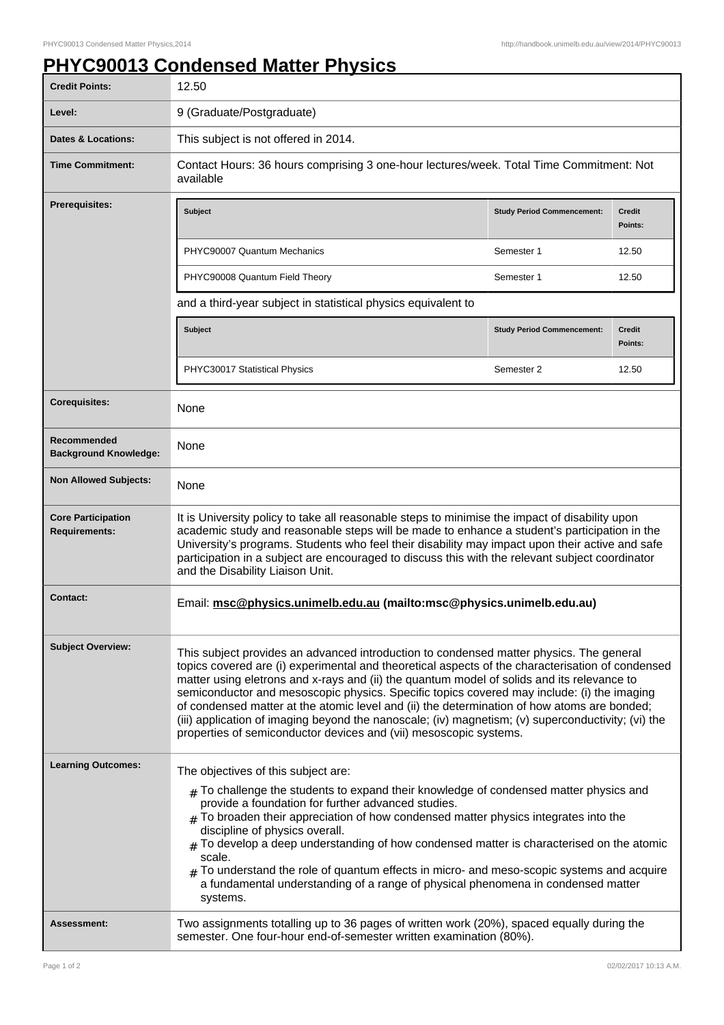## **PHYC90013 Condensed Matter Physics**

| <b>Credit Points:</b>                             | 12.50                                                                                                                                                                                                                                                                                                                                                                                                                                                                                                                                                                                                                                                             |                                   |                          |
|---------------------------------------------------|-------------------------------------------------------------------------------------------------------------------------------------------------------------------------------------------------------------------------------------------------------------------------------------------------------------------------------------------------------------------------------------------------------------------------------------------------------------------------------------------------------------------------------------------------------------------------------------------------------------------------------------------------------------------|-----------------------------------|--------------------------|
| Level:                                            | 9 (Graduate/Postgraduate)                                                                                                                                                                                                                                                                                                                                                                                                                                                                                                                                                                                                                                         |                                   |                          |
| <b>Dates &amp; Locations:</b>                     | This subject is not offered in 2014.                                                                                                                                                                                                                                                                                                                                                                                                                                                                                                                                                                                                                              |                                   |                          |
| <b>Time Commitment:</b>                           | Contact Hours: 36 hours comprising 3 one-hour lectures/week. Total Time Commitment: Not<br>available                                                                                                                                                                                                                                                                                                                                                                                                                                                                                                                                                              |                                   |                          |
| <b>Prerequisites:</b>                             | <b>Subject</b>                                                                                                                                                                                                                                                                                                                                                                                                                                                                                                                                                                                                                                                    | <b>Study Period Commencement:</b> | <b>Credit</b><br>Points: |
|                                                   | PHYC90007 Quantum Mechanics                                                                                                                                                                                                                                                                                                                                                                                                                                                                                                                                                                                                                                       | Semester 1                        | 12.50                    |
|                                                   | PHYC90008 Quantum Field Theory                                                                                                                                                                                                                                                                                                                                                                                                                                                                                                                                                                                                                                    | Semester 1                        | 12.50                    |
|                                                   | and a third-year subject in statistical physics equivalent to                                                                                                                                                                                                                                                                                                                                                                                                                                                                                                                                                                                                     |                                   |                          |
|                                                   | <b>Subject</b>                                                                                                                                                                                                                                                                                                                                                                                                                                                                                                                                                                                                                                                    | <b>Study Period Commencement:</b> | <b>Credit</b><br>Points: |
|                                                   | PHYC30017 Statistical Physics                                                                                                                                                                                                                                                                                                                                                                                                                                                                                                                                                                                                                                     | Semester 2                        | 12.50                    |
| <b>Corequisites:</b>                              | None                                                                                                                                                                                                                                                                                                                                                                                                                                                                                                                                                                                                                                                              |                                   |                          |
| Recommended<br><b>Background Knowledge:</b>       | None                                                                                                                                                                                                                                                                                                                                                                                                                                                                                                                                                                                                                                                              |                                   |                          |
| <b>Non Allowed Subjects:</b>                      | None                                                                                                                                                                                                                                                                                                                                                                                                                                                                                                                                                                                                                                                              |                                   |                          |
| <b>Core Participation</b><br><b>Requirements:</b> | It is University policy to take all reasonable steps to minimise the impact of disability upon<br>academic study and reasonable steps will be made to enhance a student's participation in the<br>University's programs. Students who feel their disability may impact upon their active and safe<br>participation in a subject are encouraged to discuss this with the relevant subject coordinator<br>and the Disability Liaison Unit.                                                                                                                                                                                                                          |                                   |                          |
| Contact:                                          | Email: msc@physics.unimelb.edu.au (mailto:msc@physics.unimelb.edu.au)                                                                                                                                                                                                                                                                                                                                                                                                                                                                                                                                                                                             |                                   |                          |
| <b>Subject Overview:</b>                          | This subject provides an advanced introduction to condensed matter physics. The general<br>topics covered are (i) experimental and theoretical aspects of the characterisation of condensed<br>matter using eletrons and x-rays and (ii) the quantum model of solids and its relevance to<br>semiconductor and mesoscopic physics. Specific topics covered may include: (i) the imaging<br>of condensed matter at the atomic level and (ii) the determination of how atoms are bonded;<br>(iii) application of imaging beyond the nanoscale; (iv) magnetism; (v) superconductivity; (vi) the<br>properties of semiconductor devices and (vii) mesoscopic systems. |                                   |                          |
| <b>Learning Outcomes:</b>                         | The objectives of this subject are:<br>$_{\#}$ To challenge the students to expand their knowledge of condensed matter physics and<br>provide a foundation for further advanced studies.<br>To broaden their appreciation of how condensed matter physics integrates into the<br>discipline of physics overall.<br>$#$ To develop a deep understanding of how condensed matter is characterised on the atomic<br>scale.<br>To understand the role of quantum effects in micro- and meso-scopic systems and acquire<br>a fundamental understanding of a range of physical phenomena in condensed matter<br>systems.                                                |                                   |                          |
| Assessment:                                       | Two assignments totalling up to 36 pages of written work (20%), spaced equally during the<br>semester. One four-hour end-of-semester written examination (80%).                                                                                                                                                                                                                                                                                                                                                                                                                                                                                                   |                                   |                          |